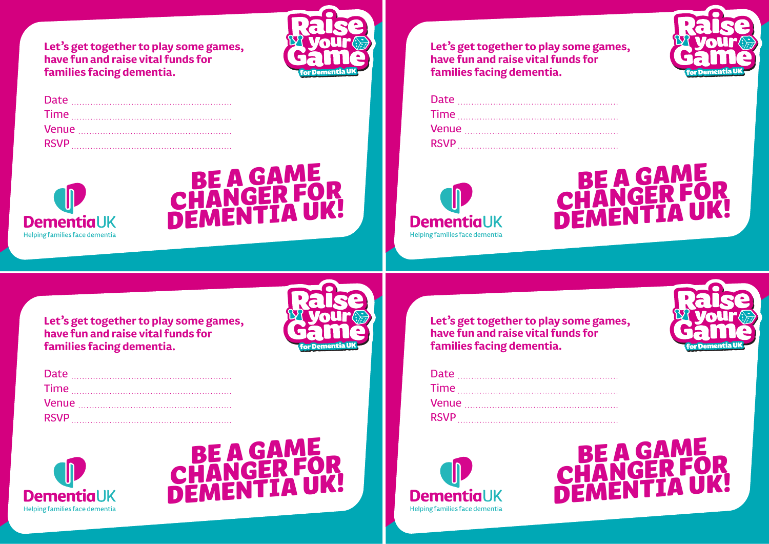**Let's get together to play some games, have fun and raise vital funds for families facing dementia.**







**Let's get together to play some games, have fun and raise vital funds for families facing dementia.**





|  | for Dementia UK |  |
|--|-----------------|--|

**Let's get together to play some games, have fun and raise vital funds for families facing dementia.**





**Let's get together to play some games, have fun and raise vital funds for families facing dementia.**